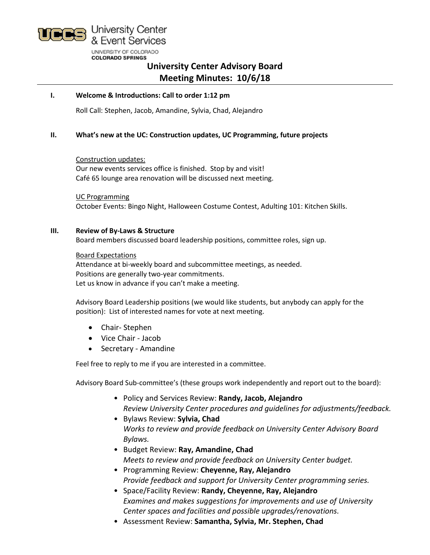

# **University Center Advisory Board Meeting Minutes: 10/6/18**

## **I. Welcome & Introductions: Call to order 1:12 pm**

Roll Call: Stephen, Jacob, Amandine, Sylvia, Chad, Alejandro

## **II. What's new at the UC: Construction updates, UC Programming, future projects**

Construction updates:

Our new events services office is finished. Stop by and visit! Café 65 lounge area renovation will be discussed next meeting.

UC Programming October Events: Bingo Night, Halloween Costume Contest, Adulting 101: Kitchen Skills.

#### **III. Review of By-Laws & Structure**

Board members discussed board leadership positions, committee roles, sign up.

Board Expectations Attendance at bi-weekly board and subcommittee meetings, as needed. Positions are generally two-year commitments.

Let us know in advance if you can't make a meeting.

Advisory Board Leadership positions (we would like students, but anybody can apply for the position): List of interested names for vote at next meeting.

- Chair- Stephen
- Vice Chair Jacob
- Secretary Amandine

Feel free to reply to me if you are interested in a committee.

Advisory Board Sub-committee's (these groups work independently and report out to the board):

- Policy and Services Review: **Randy, Jacob, Alejandro** *Review University Center procedures and guidelines for adjustments/feedback.*
- Bylaws Review: **Sylvia, Chad** *Works to review and provide feedback on University Center Advisory Board Bylaws.*
- Budget Review: **Ray, Amandine, Chad** *Meets to review and provide feedback on University Center budget.*
- Programming Review: **Cheyenne, Ray, Alejandro** *Provide feedback and support for University Center programming series.*
- Space/Facility Review: **Randy, Cheyenne, Ray, Alejandro** *Examines and makes suggestions for improvements and use of University Center spaces and facilities and possible upgrades/renovations.*
- Assessment Review: **Samantha, Sylvia, Mr. Stephen, Chad**